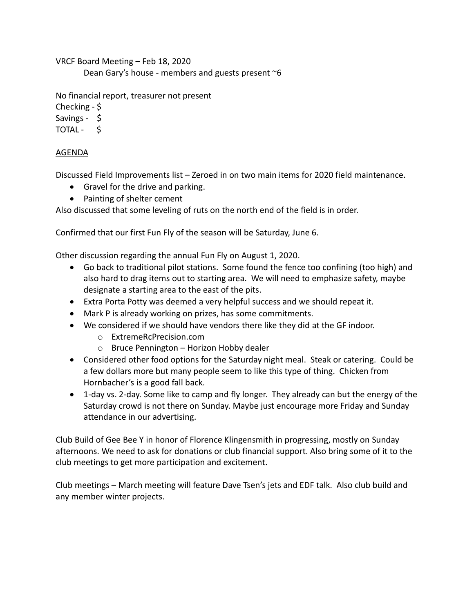VRCF Board Meeting – Feb 18, 2020 Dean Gary's house - members and guests present  $\sim$ 6

No financial report, treasurer not present

Checking - \$

Savings - \$

TOTAL - \$

## AGENDA

Discussed Field Improvements list – Zeroed in on two main items for 2020 field maintenance.

- Gravel for the drive and parking.
- Painting of shelter cement

Also discussed that some leveling of ruts on the north end of the field is in order.

Confirmed that our first Fun Fly of the season will be Saturday, June 6.

Other discussion regarding the annual Fun Fly on August 1, 2020.

- Go back to traditional pilot stations. Some found the fence too confining (too high) and also hard to drag items out to starting area. We will need to emphasize safety, maybe designate a starting area to the east of the pits.
- Extra Porta Potty was deemed a very helpful success and we should repeat it.
- Mark P is already working on prizes, has some commitments.
- We considered if we should have vendors there like they did at the GF indoor.
	- o ExtremeRcPrecision.com
	- o Bruce Pennington Horizon Hobby dealer
- Considered other food options for the Saturday night meal. Steak or catering. Could be a few dollars more but many people seem to like this type of thing. Chicken from Hornbacher's is a good fall back.
- 1-day vs. 2-day. Some like to camp and fly longer. They already can but the energy of the Saturday crowd is not there on Sunday. Maybe just encourage more Friday and Sunday attendance in our advertising.

Club Build of Gee Bee Y in honor of Florence Klingensmith in progressing, mostly on Sunday afternoons. We need to ask for donations or club financial support. Also bring some of it to the club meetings to get more participation and excitement.

Club meetings – March meeting will feature Dave Tsen's jets and EDF talk. Also club build and any member winter projects.